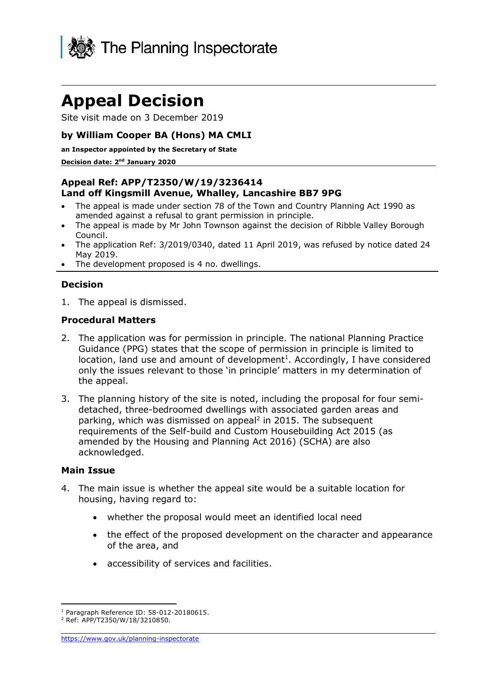

# **Appeal Decision**

Site visit made on 3 December 2019

#### **by William Cooper BA (Hons) MA CMLI**

**an Inspector appointed by the Secretary of State** 

#### **Decision date: 2 nd January 2020**

#### **Appeal Ref: APP/T2350/W/19/3236414 Land off Kingsmill Avenue, Whalley, Lancashire BB7 9PG**

- The appeal is made under section 78 of the Town and Country Planning Act 1990 as amended against a refusal to grant permission in principle.
- The appeal is made by Mr John Townson against the decision of Ribble Valley Borough Council.
- The application Ref: 3/2019/0340, dated 11 April 2019, was refused by notice dated 24 May 2019.
- The development proposed is 4 no. dwellings.

#### **Decision**

1. The appeal is dismissed.

#### **Procedural Matters**

- 2. The application was for permission in principle. The national Planning Practice Guidance (PPG) states that the scope of permission in principle is limited to location, land use and amount of development<sup>1</sup>. Accordingly, I have considered only the issues relevant to those 'in principle' matters in my determination of the appeal.
- 3. The planning history of the site is noted, including the proposal for four semidetached, three-bedroomed dwellings with associated garden areas and parking, which was dismissed on appeal<sup>2</sup> in 2015. The subsequent requirements of the Self-build and Custom Housebuilding Act 2015 (as amended by the Housing and Planning Act 2016) (SCHA) are also acknowledged.

#### **Main Issue**

- 4. The main issue is whether the appeal site would be a suitable location for housing, having regard to:
	- whether the proposal would meet an identified local need
	- the effect of the proposed development on the character and appearance of the area, and
	- accessibility of services and facilities.

<sup>1</sup> Paragraph Reference ID: 58-012-20180615.

<sup>2</sup> Ref: APP/T2350/W/18/3210850.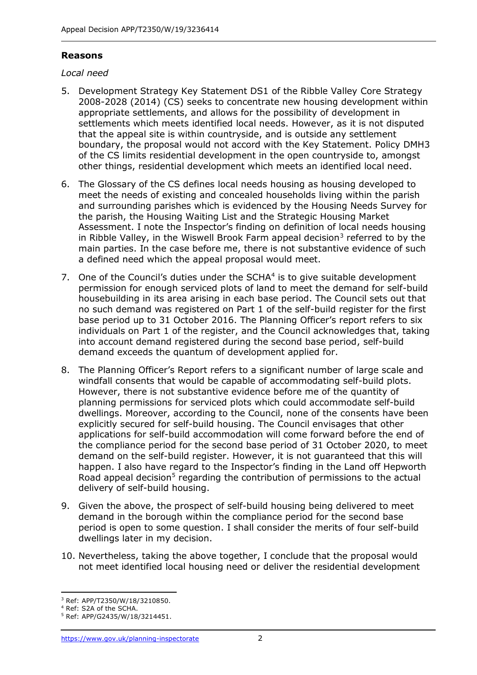### **Reasons**

#### *Local need*

- 5. Development Strategy Key Statement DS1 of the Ribble Valley Core Strategy 2008-2028 (2014) (CS) seeks to concentrate new housing development within appropriate settlements, and allows for the possibility of development in settlements which meets identified local needs. However, as it is not disputed that the appeal site is within countryside, and is outside any settlement boundary, the proposal would not accord with the Key Statement. Policy DMH3 of the CS limits residential development in the open countryside to, amongst other things, residential development which meets an identified local need.
- 6. The Glossary of the CS defines local needs housing as housing developed to meet the needs of existing and concealed households living within the parish and surrounding parishes which is evidenced by the Housing Needs Survey for the parish, the Housing Waiting List and the Strategic Housing Market Assessment. I note the Inspector's finding on definition of local needs housing in Ribble Valley, in the Wiswell Brook Farm appeal decision<sup>3</sup> referred to by the main parties. In the case before me, there is not substantive evidence of such a defined need which the appeal proposal would meet.
- 7. One of the Council's duties under the  $SCHA<sup>4</sup>$  is to give suitable development permission for enough serviced plots of land to meet the demand for self-build housebuilding in its area arising in each base period. The Council sets out that no such demand was registered on Part 1 of the self-build register for the first base period up to 31 October 2016. The Planning Officer's report refers to six individuals on Part 1 of the register, and the Council acknowledges that, taking into account demand registered during the second base period, self-build demand exceeds the quantum of development applied for.
- 8. The Planning Officer's Report refers to a significant number of large scale and windfall consents that would be capable of accommodating self-build plots. However, there is not substantive evidence before me of the quantity of planning permissions for serviced plots which could accommodate self-build dwellings. Moreover, according to the Council, none of the consents have been explicitly secured for self-build housing. The Council envisages that other applications for self-build accommodation will come forward before the end of the compliance period for the second base period of 31 October 2020, to meet demand on the self-build register. However, it is not guaranteed that this will happen. I also have regard to the Inspector's finding in the Land off Hepworth Road appeal decision<sup>5</sup> regarding the contribution of permissions to the actual delivery of self-build housing.
- 9. Given the above, the prospect of self-build housing being delivered to meet demand in the borough within the compliance period for the second base period is open to some question. I shall consider the merits of four self-build dwellings later in my decision.
- 10. Nevertheless, taking the above together, I conclude that the proposal would not meet identified local housing need or deliver the residential development

<sup>3</sup> Ref: APP/T2350/W/18/3210850.

<sup>4</sup> Ref: S2A of the SCHA.

<sup>5</sup> Ref: APP/G2435/W/18/3214451.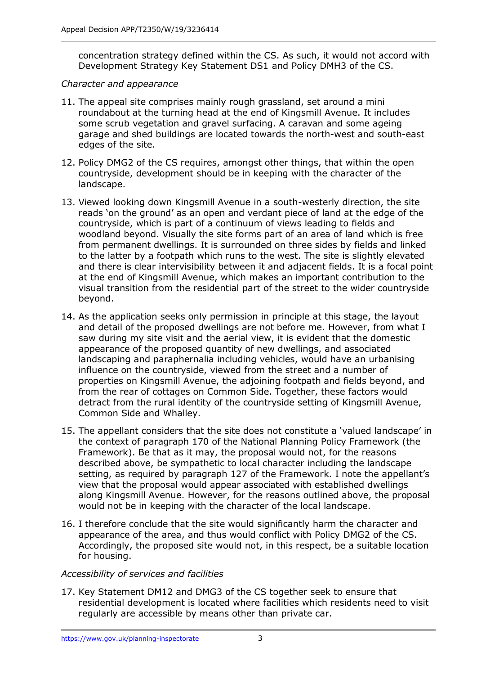concentration strategy defined within the CS. As such, it would not accord with Development Strategy Key Statement DS1 and Policy DMH3 of the CS.

#### *Character and appearance*

- 11. The appeal site comprises mainly rough grassland, set around a mini roundabout at the turning head at the end of Kingsmill Avenue. It includes some scrub vegetation and gravel surfacing. A caravan and some ageing garage and shed buildings are located towards the north-west and south-east edges of the site.
- 12. Policy DMG2 of the CS requires, amongst other things, that within the open countryside, development should be in keeping with the character of the landscape.
- 13. Viewed looking down Kingsmill Avenue in a south-westerly direction, the site reads 'on the ground' as an open and verdant piece of land at the edge of the countryside, which is part of a continuum of views leading to fields and woodland beyond. Visually the site forms part of an area of land which is free from permanent dwellings. It is surrounded on three sides by fields and linked to the latter by a footpath which runs to the west. The site is slightly elevated and there is clear intervisibility between it and adjacent fields. It is a focal point at the end of Kingsmill Avenue, which makes an important contribution to the visual transition from the residential part of the street to the wider countryside beyond.
- 14. As the application seeks only permission in principle at this stage, the layout and detail of the proposed dwellings are not before me. However, from what I saw during my site visit and the aerial view, it is evident that the domestic appearance of the proposed quantity of new dwellings, and associated landscaping and paraphernalia including vehicles, would have an urbanising influence on the countryside, viewed from the street and a number of properties on Kingsmill Avenue, the adjoining footpath and fields beyond, and from the rear of cottages on Common Side. Together, these factors would detract from the rural identity of the countryside setting of Kingsmill Avenue, Common Side and Whalley.
- 15. The appellant considers that the site does not constitute a 'valued landscape' in the context of paragraph 170 of the National Planning Policy Framework (the Framework). Be that as it may, the proposal would not, for the reasons described above, be sympathetic to local character including the landscape setting, as required by paragraph 127 of the Framework. I note the appellant's view that the proposal would appear associated with established dwellings along Kingsmill Avenue. However, for the reasons outlined above, the proposal would not be in keeping with the character of the local landscape.
- 16. I therefore conclude that the site would significantly harm the character and appearance of the area, and thus would conflict with Policy DMG2 of the CS. Accordingly, the proposed site would not, in this respect, be a suitable location for housing.

## *Accessibility of services and facilities*

17. Key Statement DM12 and DMG3 of the CS together seek to ensure that residential development is located where facilities which residents need to visit regularly are accessible by means other than private car.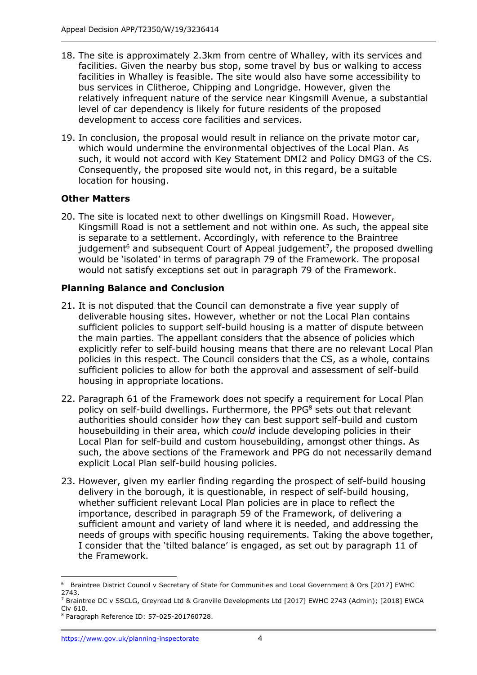- 18. The site is approximately 2.3km from centre of Whalley, with its services and facilities. Given the nearby bus stop, some travel by bus or walking to access facilities in Whalley is feasible. The site would also have some accessibility to bus services in Clitheroe, Chipping and Longridge. However, given the relatively infrequent nature of the service near Kingsmill Avenue, a substantial level of car dependency is likely for future residents of the proposed development to access core facilities and services.
- 19. In conclusion, the proposal would result in reliance on the private motor car, which would undermine the environmental objectives of the Local Plan. As such, it would not accord with Key Statement DMI2 and Policy DMG3 of the CS. Consequently, the proposed site would not, in this regard, be a suitable location for housing.

## **Other Matters**

20. The site is located next to other dwellings on Kingsmill Road. However, Kingsmill Road is not a settlement and not within one. As such, the appeal site is separate to a settlement. Accordingly, with reference to the Braintree judgement<sup>6</sup> and subsequent Court of Appeal judgement<sup>7</sup>, the proposed dwelling would be 'isolated' in terms of paragraph 79 of the Framework. The proposal would not satisfy exceptions set out in paragraph 79 of the Framework.

## **Planning Balance and Conclusion**

- 21. It is not disputed that the Council can demonstrate a five year supply of deliverable housing sites. However, whether or not the Local Plan contains sufficient policies to support self-build housing is a matter of dispute between the main parties. The appellant considers that the absence of policies which explicitly refer to self-build housing means that there are no relevant Local Plan policies in this respect. The Council considers that the CS, as a whole, contains sufficient policies to allow for both the approval and assessment of self-build housing in appropriate locations.
- 22. Paragraph 61 of the Framework does not specify a requirement for Local Plan policy on self-build dwellings. Furthermore, the PPG<sup>8</sup> sets out that relevant authorities should consider h*ow* they can best support self-build and custom housebuilding in their area, which *could* include developing policies in their Local Plan for self-build and custom housebuilding, amongst other things. As such, the above sections of the Framework and PPG do not necessarily demand explicit Local Plan self-build housing policies.
- 23. However, given my earlier finding regarding the prospect of self-build housing delivery in the borough, it is questionable, in respect of self-build housing, whether sufficient relevant Local Plan policies are in place to reflect the importance, described in paragraph 59 of the Framework, of delivering a sufficient amount and variety of land where it is needed, and addressing the needs of groups with specific housing requirements. Taking the above together, I consider that the 'tilted balance' is engaged, as set out by paragraph 11 of the Framework.

 $\overline{a}$ 6 Braintree District Council v Secretary of State for Communities and Local Government & Ors [2017] EWHC 2743.

<sup>7</sup> Braintree DC v SSCLG, Greyread Ltd & Granville Developments Ltd [2017] EWHC 2743 (Admin); [2018] EWCA Civ 610.

<sup>8</sup> Paragraph Reference ID: 57-025-201760728.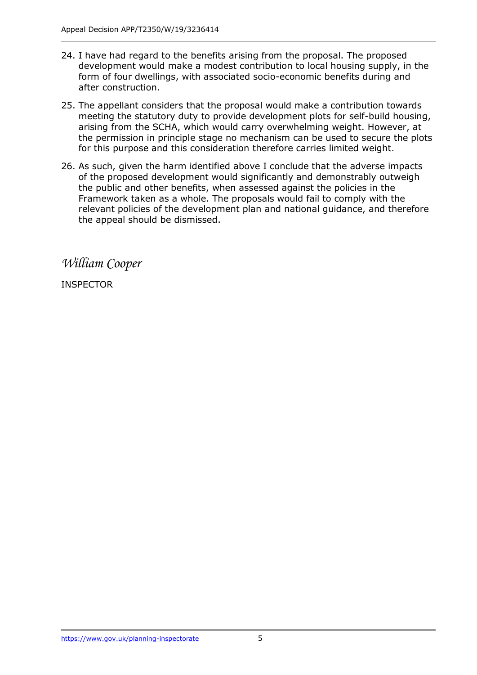- 24. I have had regard to the benefits arising from the proposal. The proposed development would make a modest contribution to local housing supply, in the form of four dwellings, with associated socio-economic benefits during and after construction.
- 25. The appellant considers that the proposal would make a contribution towards meeting the statutory duty to provide development plots for self-build housing, arising from the SCHA, which would carry overwhelming weight. However, at the permission in principle stage no mechanism can be used to secure the plots for this purpose and this consideration therefore carries limited weight.
- 26. As such, given the harm identified above I conclude that the adverse impacts of the proposed development would significantly and demonstrably outweigh the public and other benefits, when assessed against the policies in the Framework taken as a whole. The proposals would fail to comply with the relevant policies of the development plan and national guidance, and therefore the appeal should be dismissed.

*William Cooper*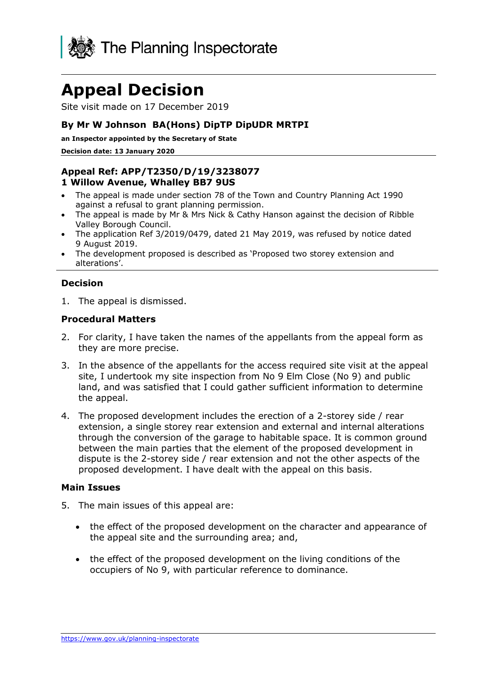

# **Appeal Decision**

Site visit made on 17 December 2019

#### **By Mr W Johnson BA(Hons) DipTP DipUDR MRTPI**

**an Inspector appointed by the Secretary of State** 

**Decision date: 13 January 2020**

#### **Appeal Ref: APP/T2350/D/19/3238077 1 Willow Avenue, Whalley BB7 9US**

- The appeal is made under section 78 of the Town and Country Planning Act 1990 against a refusal to grant planning permission.
- The appeal is made by Mr & Mrs Nick & Cathy Hanson against the decision of Ribble Valley Borough Council.
- The application Ref 3/2019/0479, dated 21 May 2019, was refused by notice dated 9 August 2019.
- The development proposed is described as 'Proposed two storey extension and alterations'.

#### **Decision**

1. The appeal is dismissed.

#### **Procedural Matters**

- 2. For clarity, I have taken the names of the appellants from the appeal form as they are more precise.
- 3. In the absence of the appellants for the access required site visit at the appeal site, I undertook my site inspection from No 9 Elm Close (No 9) and public land, and was satisfied that I could gather sufficient information to determine the appeal.
- 4. The proposed development includes the erection of a 2-storey side / rear extension, a single storey rear extension and external and internal alterations through the conversion of the garage to habitable space. It is common ground between the main parties that the element of the proposed development in dispute is the 2-storey side / rear extension and not the other aspects of the proposed development. I have dealt with the appeal on this basis.

#### **Main Issues**

- 5. The main issues of this appeal are:
	- the effect of the proposed development on the character and appearance of the appeal site and the surrounding area; and,
	- the effect of the proposed development on the living conditions of the occupiers of No 9, with particular reference to dominance.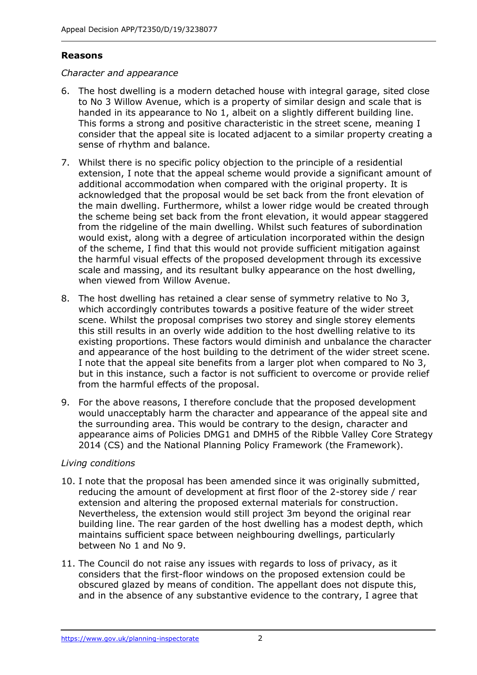#### **Reasons**

#### *Character and appearance*

- 6. The host dwelling is a modern detached house with integral garage, sited close to No 3 Willow Avenue, which is a property of similar design and scale that is handed in its appearance to No 1, albeit on a slightly different building line. This forms a strong and positive characteristic in the street scene, meaning I consider that the appeal site is located adjacent to a similar property creating a sense of rhythm and balance.
- 7. Whilst there is no specific policy objection to the principle of a residential extension, I note that the appeal scheme would provide a significant amount of additional accommodation when compared with the original property. It is acknowledged that the proposal would be set back from the front elevation of the main dwelling. Furthermore, whilst a lower ridge would be created through the scheme being set back from the front elevation, it would appear staggered from the ridgeline of the main dwelling. Whilst such features of subordination would exist, along with a degree of articulation incorporated within the design of the scheme, I find that this would not provide sufficient mitigation against the harmful visual effects of the proposed development through its excessive scale and massing, and its resultant bulky appearance on the host dwelling, when viewed from Willow Avenue.
- 8. The host dwelling has retained a clear sense of symmetry relative to No 3, which accordingly contributes towards a positive feature of the wider street scene. Whilst the proposal comprises two storey and single storey elements this still results in an overly wide addition to the host dwelling relative to its existing proportions. These factors would diminish and unbalance the character and appearance of the host building to the detriment of the wider street scene. I note that the appeal site benefits from a larger plot when compared to No 3, but in this instance, such a factor is not sufficient to overcome or provide relief from the harmful effects of the proposal.
- 9. For the above reasons, I therefore conclude that the proposed development would unacceptably harm the character and appearance of the appeal site and the surrounding area. This would be contrary to the design, character and appearance aims of Policies DMG1 and DMH5 of the Ribble Valley Core Strategy 2014 (CS) and the National Planning Policy Framework (the Framework).

#### *Living conditions*

- 10. I note that the proposal has been amended since it was originally submitted, reducing the amount of development at first floor of the 2-storey side / rear extension and altering the proposed external materials for construction. Nevertheless, the extension would still project 3m beyond the original rear building line. The rear garden of the host dwelling has a modest depth, which maintains sufficient space between neighbouring dwellings, particularly between No 1 and No 9.
- 11. The Council do not raise any issues with regards to loss of privacy, as it considers that the first-floor windows on the proposed extension could be obscured glazed by means of condition. The appellant does not dispute this, and in the absence of any substantive evidence to the contrary, I agree that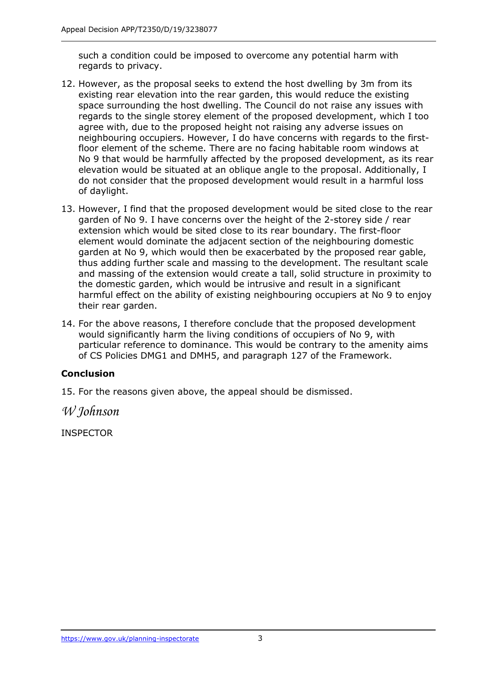such a condition could be imposed to overcome any potential harm with regards to privacy.

- 12. However, as the proposal seeks to extend the host dwelling by 3m from its existing rear elevation into the rear garden, this would reduce the existing space surrounding the host dwelling. The Council do not raise any issues with regards to the single storey element of the proposed development, which I too agree with, due to the proposed height not raising any adverse issues on neighbouring occupiers. However, I do have concerns with regards to the firstfloor element of the scheme. There are no facing habitable room windows at No 9 that would be harmfully affected by the proposed development, as its rear elevation would be situated at an oblique angle to the proposal. Additionally, I do not consider that the proposed development would result in a harmful loss of daylight.
- 13. However, I find that the proposed development would be sited close to the rear garden of No 9. I have concerns over the height of the 2-storey side / rear extension which would be sited close to its rear boundary. The first-floor element would dominate the adjacent section of the neighbouring domestic garden at No 9, which would then be exacerbated by the proposed rear gable, thus adding further scale and massing to the development. The resultant scale and massing of the extension would create a tall, solid structure in proximity to the domestic garden, which would be intrusive and result in a significant harmful effect on the ability of existing neighbouring occupiers at No 9 to enjoy their rear garden.
- 14. For the above reasons, I therefore conclude that the proposed development would significantly harm the living conditions of occupiers of No 9, with particular reference to dominance. This would be contrary to the amenity aims of CS Policies DMG1 and DMH5, and paragraph 127 of the Framework.

## **Conclusion**

15. For the reasons given above, the appeal should be dismissed.

*W Johnson*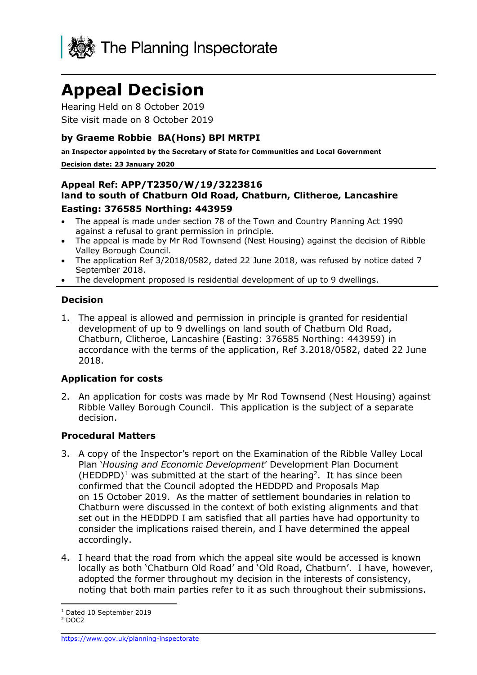

# **Appeal Decision**

Hearing Held on 8 October 2019 Site visit made on 8 October 2019

#### **by Graeme Robbie BA(Hons) BPl MRTPI**

**an Inspector appointed by the Secretary of State for Communities and Local Government Decision date: 23 January 2020**

#### **Appeal Ref: APP/T2350/W/19/3223816 land to south of Chatburn Old Road, Chatburn, Clitheroe, Lancashire Easting: 376585 Northing: 443959**

- The appeal is made under section 78 of the Town and Country Planning Act 1990 against a refusal to grant permission in principle.
- The appeal is made by Mr Rod Townsend (Nest Housing) against the decision of Ribble Valley Borough Council.
- The application Ref 3/2018/0582, dated 22 June 2018, was refused by notice dated 7 September 2018.
- The development proposed is residential development of up to 9 dwellings.

## **Decision**

1. The appeal is allowed and permission in principle is granted for residential development of up to 9 dwellings on land south of Chatburn Old Road, Chatburn, Clitheroe, Lancashire (Easting: 376585 Northing: 443959) in accordance with the terms of the application, Ref 3.2018/0582, dated 22 June 2018.

#### **Application for costs**

2. An application for costs was made by Mr Rod Townsend (Nest Housing) against Ribble Valley Borough Council. This application is the subject of a separate decision.

#### **Procedural Matters**

- 3. A copy of the Inspector's report on the Examination of the Ribble Valley Local Plan '*Housing and Economic Development*' Development Plan Document  $(HEDDPD)<sup>1</sup>$  was submitted at the start of the hearing<sup>2</sup>. It has since been confirmed that the Council adopted the HEDDPD and Proposals Map on 15 October 2019. As the matter of settlement boundaries in relation to Chatburn were discussed in the context of both existing alignments and that set out in the HEDDPD I am satisfied that all parties have had opportunity to consider the implications raised therein, and I have determined the appeal accordingly.
- 4. I heard that the road from which the appeal site would be accessed is known locally as both 'Chatburn Old Road' and 'Old Road, Chatburn'. I have, however, adopted the former throughout my decision in the interests of consistency, noting that both main parties refer to it as such throughout their submissions.

<sup>1</sup> Dated 10 September 2019

<sup>2</sup> DOC2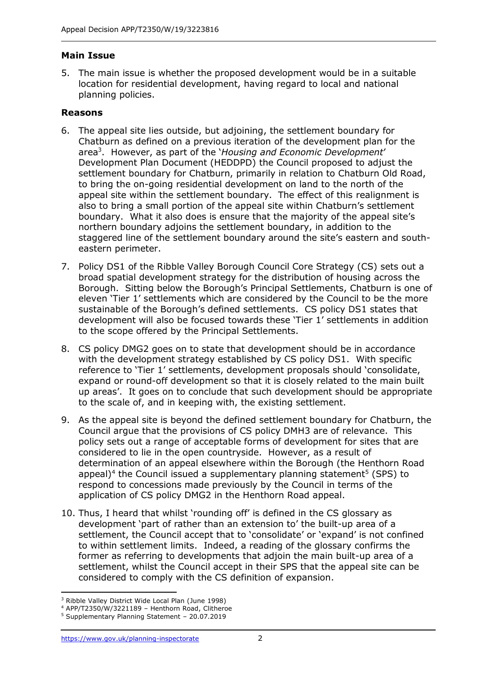## **Main Issue**

5. The main issue is whether the proposed development would be in a suitable location for residential development, having regard to local and national planning policies.

#### **Reasons**

- 6. The appeal site lies outside, but adjoining, the settlement boundary for Chatburn as defined on a previous iteration of the development plan for the area<sup>3</sup> . However, as part of the '*Housing and Economic Development*' Development Plan Document (HEDDPD) the Council proposed to adjust the settlement boundary for Chatburn, primarily in relation to Chatburn Old Road, to bring the on-going residential development on land to the north of the appeal site within the settlement boundary. The effect of this realignment is also to bring a small portion of the appeal site within Chatburn's settlement boundary. What it also does is ensure that the majority of the appeal site's northern boundary adjoins the settlement boundary, in addition to the staggered line of the settlement boundary around the site's eastern and southeastern perimeter.
- 7. Policy DS1 of the Ribble Valley Borough Council Core Strategy (CS) sets out a broad spatial development strategy for the distribution of housing across the Borough. Sitting below the Borough's Principal Settlements, Chatburn is one of eleven 'Tier 1' settlements which are considered by the Council to be the more sustainable of the Borough's defined settlements. CS policy DS1 states that development will also be focused towards these 'Tier 1' settlements in addition to the scope offered by the Principal Settlements.
- 8. CS policy DMG2 goes on to state that development should be in accordance with the development strategy established by CS policy DS1. With specific reference to 'Tier 1' settlements, development proposals should 'consolidate, expand or round-off development so that it is closely related to the main built up areas'. It goes on to conclude that such development should be appropriate to the scale of, and in keeping with, the existing settlement.
- 9. As the appeal site is beyond the defined settlement boundary for Chatburn, the Council argue that the provisions of CS policy DMH3 are of relevance. This policy sets out a range of acceptable forms of development for sites that are considered to lie in the open countryside. However, as a result of determination of an appeal elsewhere within the Borough (the Henthorn Road appeal)<sup>4</sup> the Council issued a supplementary planning statement<sup>5</sup> (SPS) to respond to concessions made previously by the Council in terms of the application of CS policy DMG2 in the Henthorn Road appeal.
- 10. Thus, I heard that whilst 'rounding off' is defined in the CS glossary as development 'part of rather than an extension to' the built-up area of a settlement, the Council accept that to 'consolidate' or 'expand' is not confined to within settlement limits. Indeed, a reading of the glossary confirms the former as referring to developments that adjoin the main built-up area of a settlement, whilst the Council accept in their SPS that the appeal site can be considered to comply with the CS definition of expansion.

<sup>3</sup> Ribble Valley District Wide Local Plan (June 1998)

 $4$  APP/T2350/W/3221189 – Henthorn Road, Clitheroe

<sup>5</sup> Supplementary Planning Statement – 20.07.2019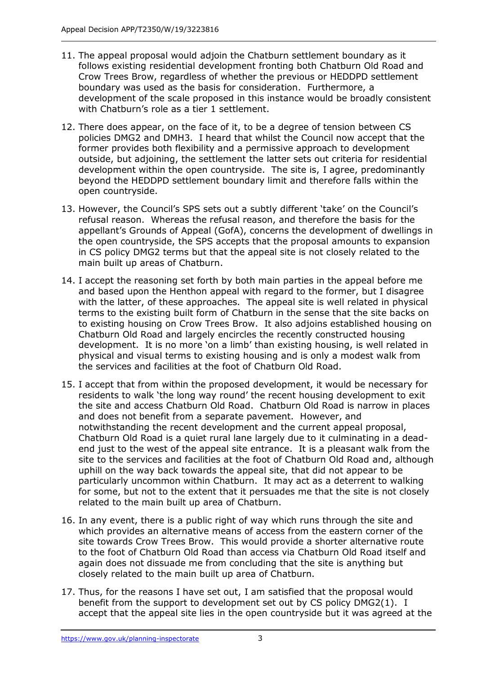- 11. The appeal proposal would adjoin the Chatburn settlement boundary as it follows existing residential development fronting both Chatburn Old Road and Crow Trees Brow, regardless of whether the previous or HEDDPD settlement boundary was used as the basis for consideration. Furthermore, a development of the scale proposed in this instance would be broadly consistent with Chatburn's role as a tier 1 settlement.
- 12. There does appear, on the face of it, to be a degree of tension between CS policies DMG2 and DMH3. I heard that whilst the Council now accept that the former provides both flexibility and a permissive approach to development outside, but adjoining, the settlement the latter sets out criteria for residential development within the open countryside. The site is, I agree, predominantly beyond the HEDDPD settlement boundary limit and therefore falls within the open countryside.
- 13. However, the Council's SPS sets out a subtly different 'take' on the Council's refusal reason. Whereas the refusal reason, and therefore the basis for the appellant's Grounds of Appeal (GofA), concerns the development of dwellings in the open countryside, the SPS accepts that the proposal amounts to expansion in CS policy DMG2 terms but that the appeal site is not closely related to the main built up areas of Chatburn.
- 14. I accept the reasoning set forth by both main parties in the appeal before me and based upon the Henthon appeal with regard to the former, but I disagree with the latter, of these approaches. The appeal site is well related in physical terms to the existing built form of Chatburn in the sense that the site backs on to existing housing on Crow Trees Brow. It also adjoins established housing on Chatburn Old Road and largely encircles the recently constructed housing development. It is no more 'on a limb' than existing housing, is well related in physical and visual terms to existing housing and is only a modest walk from the services and facilities at the foot of Chatburn Old Road.
- 15. I accept that from within the proposed development, it would be necessary for residents to walk 'the long way round' the recent housing development to exit the site and access Chatburn Old Road. Chatburn Old Road is narrow in places and does not benefit from a separate pavement. However, and notwithstanding the recent development and the current appeal proposal, Chatburn Old Road is a quiet rural lane largely due to it culminating in a deadend just to the west of the appeal site entrance. It is a pleasant walk from the site to the services and facilities at the foot of Chatburn Old Road and, although uphill on the way back towards the appeal site, that did not appear to be particularly uncommon within Chatburn. It may act as a deterrent to walking for some, but not to the extent that it persuades me that the site is not closely related to the main built up area of Chatburn.
- 16. In any event, there is a public right of way which runs through the site and which provides an alternative means of access from the eastern corner of the site towards Crow Trees Brow. This would provide a shorter alternative route to the foot of Chatburn Old Road than access via Chatburn Old Road itself and again does not dissuade me from concluding that the site is anything but closely related to the main built up area of Chatburn.
- 17. Thus, for the reasons I have set out, I am satisfied that the proposal would benefit from the support to development set out by CS policy DMG2(1). I accept that the appeal site lies in the open countryside but it was agreed at the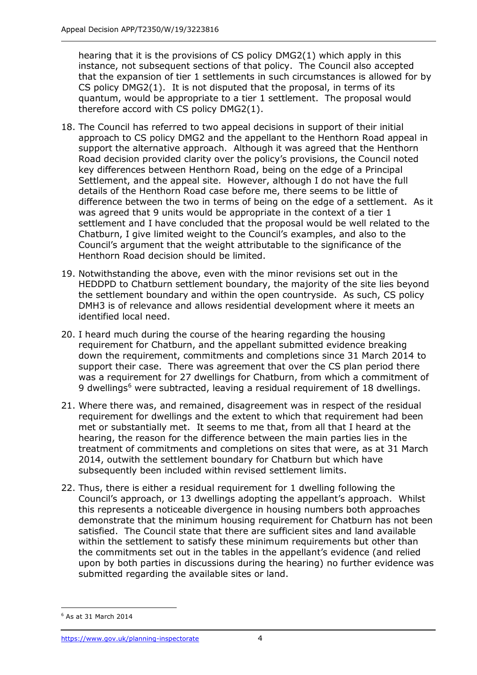hearing that it is the provisions of CS policy DMG2(1) which apply in this instance, not subsequent sections of that policy. The Council also accepted that the expansion of tier 1 settlements in such circumstances is allowed for by CS policy DMG2(1). It is not disputed that the proposal, in terms of its quantum, would be appropriate to a tier 1 settlement. The proposal would therefore accord with CS policy DMG2(1).

- 18. The Council has referred to two appeal decisions in support of their initial approach to CS policy DMG2 and the appellant to the Henthorn Road appeal in support the alternative approach. Although it was agreed that the Henthorn Road decision provided clarity over the policy's provisions, the Council noted key differences between Henthorn Road, being on the edge of a Principal Settlement, and the appeal site. However, although I do not have the full details of the Henthorn Road case before me, there seems to be little of difference between the two in terms of being on the edge of a settlement. As it was agreed that 9 units would be appropriate in the context of a tier 1 settlement and I have concluded that the proposal would be well related to the Chatburn, I give limited weight to the Council's examples, and also to the Council's argument that the weight attributable to the significance of the Henthorn Road decision should be limited.
- 19. Notwithstanding the above, even with the minor revisions set out in the HEDDPD to Chatburn settlement boundary, the majority of the site lies beyond the settlement boundary and within the open countryside. As such, CS policy DMH3 is of relevance and allows residential development where it meets an identified local need.
- 20. I heard much during the course of the hearing regarding the housing requirement for Chatburn, and the appellant submitted evidence breaking down the requirement, commitments and completions since 31 March 2014 to support their case. There was agreement that over the CS plan period there was a requirement for 27 dwellings for Chatburn, from which a commitment of 9 dwellings<sup>6</sup> were subtracted, leaving a residual requirement of 18 dwellings.
- 21. Where there was, and remained, disagreement was in respect of the residual requirement for dwellings and the extent to which that requirement had been met or substantially met. It seems to me that, from all that I heard at the hearing, the reason for the difference between the main parties lies in the treatment of commitments and completions on sites that were, as at 31 March 2014, outwith the settlement boundary for Chatburn but which have subsequently been included within revised settlement limits.
- 22. Thus, there is either a residual requirement for 1 dwelling following the Council's approach, or 13 dwellings adopting the appellant's approach. Whilst this represents a noticeable divergence in housing numbers both approaches demonstrate that the minimum housing requirement for Chatburn has not been satisfied. The Council state that there are sufficient sites and land available within the settlement to satisfy these minimum requirements but other than the commitments set out in the tables in the appellant's evidence (and relied upon by both parties in discussions during the hearing) no further evidence was submitted regarding the available sites or land.

j <sup>6</sup> As at 31 March 2014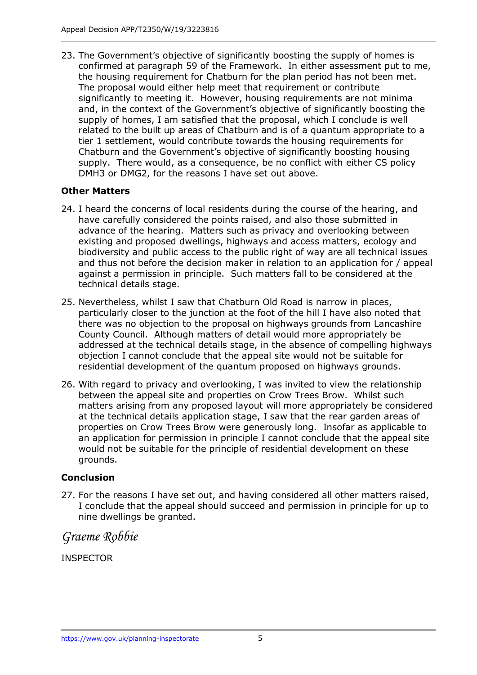23. The Government's objective of significantly boosting the supply of homes is confirmed at paragraph 59 of the Framework. In either assessment put to me, the housing requirement for Chatburn for the plan period has not been met. The proposal would either help meet that requirement or contribute significantly to meeting it. However, housing requirements are not minima and, in the context of the Government's objective of significantly boosting the supply of homes, I am satisfied that the proposal, which I conclude is well related to the built up areas of Chatburn and is of a quantum appropriate to a tier 1 settlement, would contribute towards the housing requirements for Chatburn and the Government's objective of significantly boosting housing supply. There would, as a consequence, be no conflict with either CS policy DMH3 or DMG2, for the reasons I have set out above.

## **Other Matters**

- 24. I heard the concerns of local residents during the course of the hearing, and have carefully considered the points raised, and also those submitted in advance of the hearing. Matters such as privacy and overlooking between existing and proposed dwellings, highways and access matters, ecology and biodiversity and public access to the public right of way are all technical issues and thus not before the decision maker in relation to an application for / appeal against a permission in principle. Such matters fall to be considered at the technical details stage.
- 25. Nevertheless, whilst I saw that Chatburn Old Road is narrow in places, particularly closer to the junction at the foot of the hill I have also noted that there was no objection to the proposal on highways grounds from Lancashire County Council. Although matters of detail would more appropriately be addressed at the technical details stage, in the absence of compelling highways objection I cannot conclude that the appeal site would not be suitable for residential development of the quantum proposed on highways grounds.
- 26. With regard to privacy and overlooking, I was invited to view the relationship between the appeal site and properties on Crow Trees Brow. Whilst such matters arising from any proposed layout will more appropriately be considered at the technical details application stage, I saw that the rear garden areas of properties on Crow Trees Brow were generously long. Insofar as applicable to an application for permission in principle I cannot conclude that the appeal site would not be suitable for the principle of residential development on these grounds.

## **Conclusion**

27. For the reasons I have set out, and having considered all other matters raised, I conclude that the appeal should succeed and permission in principle for up to nine dwellings be granted.

*Graeme Robbie*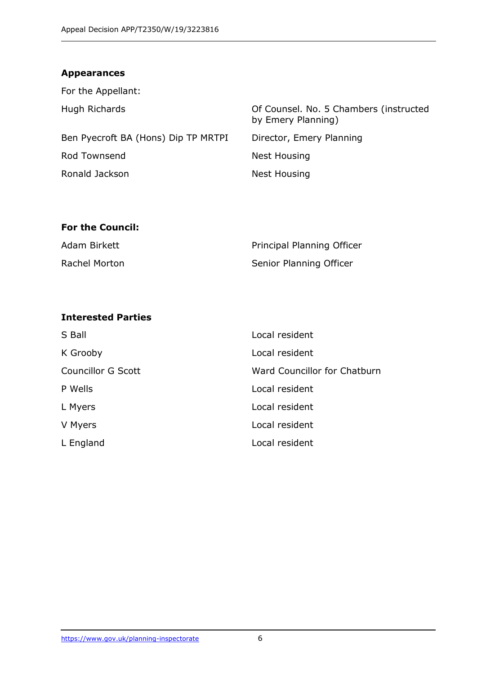## **Appearances**

| For the Appellant:                  |                                                              |
|-------------------------------------|--------------------------------------------------------------|
| Hugh Richards                       | Of Counsel. No. 5 Chambers (instructed<br>by Emery Planning) |
| Ben Pyecroft BA (Hons) Dip TP MRTPI | Director, Emery Planning                                     |
| Rod Townsend                        | Nest Housing                                                 |
| Ronald Jackson                      | <b>Nest Housing</b>                                          |
|                                     |                                                              |

## **For the Council:**

| Adam Birkett  | Principal Planning Officer |
|---------------|----------------------------|
| Rachel Morton | Senior Planning Officer    |

## **Interested Parties**

| S Ball                    | Local resident               |
|---------------------------|------------------------------|
| K Grooby                  | Local resident               |
| <b>Councillor G Scott</b> | Ward Councillor for Chatburn |
| P Wells                   | Local resident               |
| L Myers                   | Local resident               |
| V Myers                   | Local resident               |
| L England                 | Local resident               |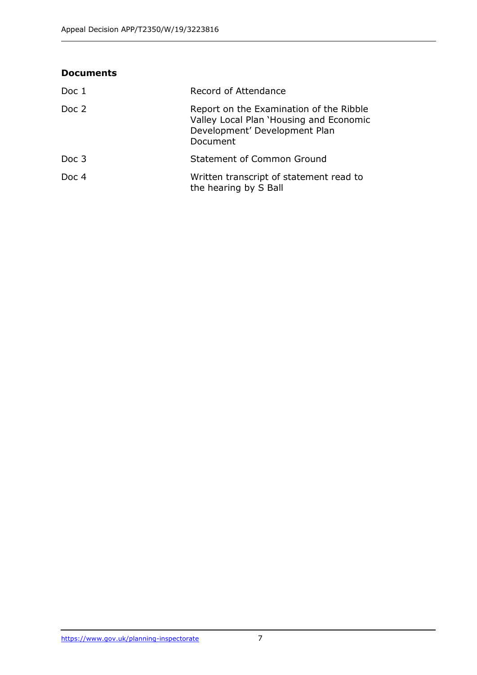| <b>Documents</b> |                                                                                                                                 |
|------------------|---------------------------------------------------------------------------------------------------------------------------------|
| Doc 1            | Record of Attendance                                                                                                            |
| Doc 2            | Report on the Examination of the Ribble<br>Valley Local Plan 'Housing and Economic<br>Development' Development Plan<br>Document |
| Doc 3            | <b>Statement of Common Ground</b>                                                                                               |
| Doc 4            | Written transcript of statement read to<br>the hearing by S Ball                                                                |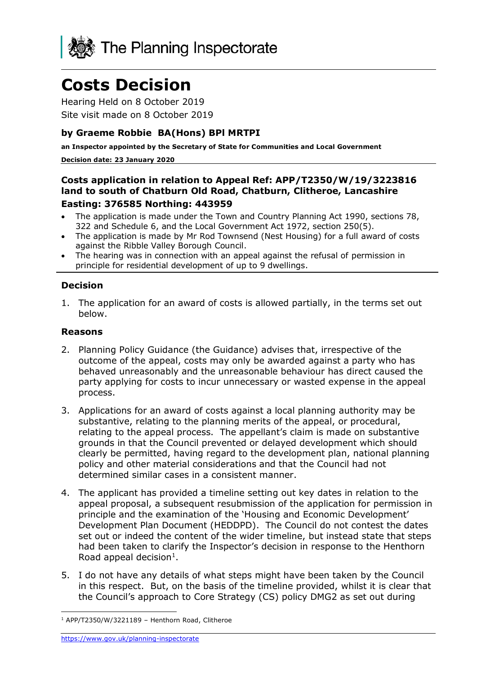

# **Costs Decision**

Hearing Held on 8 October 2019 Site visit made on 8 October 2019

#### **by Graeme Robbie BA(Hons) BPl MRTPI**

**an Inspector appointed by the Secretary of State for Communities and Local Government**

#### **Decision date: 23 January 2020**

## **Costs application in relation to Appeal Ref: APP/T2350/W/19/3223816 land to south of Chatburn Old Road, Chatburn, Clitheroe, Lancashire**

#### **Easting: 376585 Northing: 443959**

- The application is made under the Town and Country Planning Act 1990, sections 78, 322 and Schedule 6, and the Local Government Act 1972, section 250(5).
- The application is made by Mr Rod Townsend (Nest Housing) for a full award of costs against the Ribble Valley Borough Council.
- The hearing was in connection with an appeal against the refusal of permission in principle for residential development of up to 9 dwellings.

#### **Decision**

1. The application for an award of costs is allowed partially, in the terms set out below.

#### **Reasons**

- 2. Planning Policy Guidance (the Guidance) advises that, irrespective of the outcome of the appeal, costs may only be awarded against a party who has behaved unreasonably and the unreasonable behaviour has direct caused the party applying for costs to incur unnecessary or wasted expense in the appeal process.
- 3. Applications for an award of costs against a local planning authority may be substantive, relating to the planning merits of the appeal, or procedural, relating to the appeal process. The appellant's claim is made on substantive grounds in that the Council prevented or delayed development which should clearly be permitted, having regard to the development plan, national planning policy and other material considerations and that the Council had not determined similar cases in a consistent manner.
- 4. The applicant has provided a timeline setting out key dates in relation to the appeal proposal, a subsequent resubmission of the application for permission in principle and the examination of the 'Housing and Economic Development' Development Plan Document (HEDDPD). The Council do not contest the dates set out or indeed the content of the wider timeline, but instead state that steps had been taken to clarify the Inspector's decision in response to the Henthorn Road appeal decision $<sup>1</sup>$ .</sup>
- 5. I do not have any details of what steps might have been taken by the Council in this respect. But, on the basis of the timeline provided, whilst it is clear that the Council's approach to Core Strategy (CS) policy DMG2 as set out during

-

 $1$  APP/T2350/W/3221189 - Henthorn Road, Clitheroe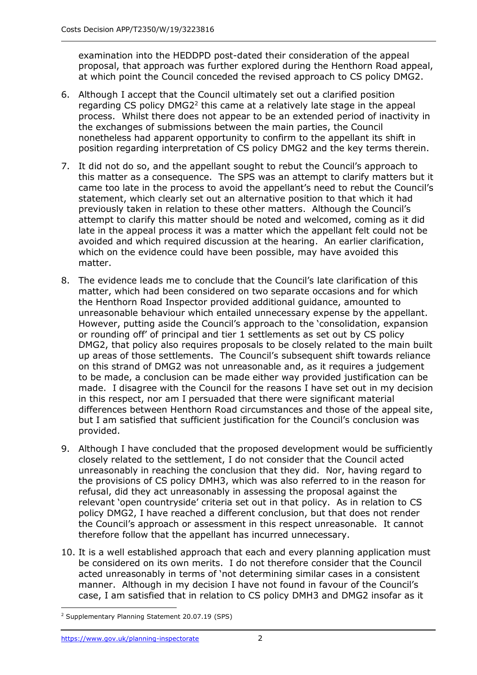examination into the HEDDPD post-dated their consideration of the appeal proposal, that approach was further explored during the Henthorn Road appeal, at which point the Council conceded the revised approach to CS policy DMG2.

- 6. Although I accept that the Council ultimately set out a clarified position regarding CS policy  $DMG2<sup>2</sup>$  this came at a relatively late stage in the appeal process. Whilst there does not appear to be an extended period of inactivity in the exchanges of submissions between the main parties, the Council nonetheless had apparent opportunity to confirm to the appellant its shift in position regarding interpretation of CS policy DMG2 and the key terms therein.
- 7. It did not do so, and the appellant sought to rebut the Council's approach to this matter as a consequence. The SPS was an attempt to clarify matters but it came too late in the process to avoid the appellant's need to rebut the Council's statement, which clearly set out an alternative position to that which it had previously taken in relation to these other matters. Although the Council's attempt to clarify this matter should be noted and welcomed, coming as it did late in the appeal process it was a matter which the appellant felt could not be avoided and which required discussion at the hearing. An earlier clarification, which on the evidence could have been possible, may have avoided this matter.
- 8. The evidence leads me to conclude that the Council's late clarification of this matter, which had been considered on two separate occasions and for which the Henthorn Road Inspector provided additional guidance, amounted to unreasonable behaviour which entailed unnecessary expense by the appellant. However, putting aside the Council's approach to the 'consolidation, expansion or rounding off' of principal and tier 1 settlements as set out by CS policy DMG2, that policy also requires proposals to be closely related to the main built up areas of those settlements. The Council's subsequent shift towards reliance on this strand of DMG2 was not unreasonable and, as it requires a judgement to be made, a conclusion can be made either way provided justification can be made. I disagree with the Council for the reasons I have set out in my decision in this respect, nor am I persuaded that there were significant material differences between Henthorn Road circumstances and those of the appeal site, but I am satisfied that sufficient justification for the Council's conclusion was provided.
- 9. Although I have concluded that the proposed development would be sufficiently closely related to the settlement, I do not consider that the Council acted unreasonably in reaching the conclusion that they did. Nor, having regard to the provisions of CS policy DMH3, which was also referred to in the reason for refusal, did they act unreasonably in assessing the proposal against the relevant 'open countryside' criteria set out in that policy. As in relation to CS policy DMG2, I have reached a different conclusion, but that does not render the Council's approach or assessment in this respect unreasonable. It cannot therefore follow that the appellant has incurred unnecessary.
- 10. It is a well established approach that each and every planning application must be considered on its own merits. I do not therefore consider that the Council acted unreasonably in terms of 'not determining similar cases in a consistent manner. Although in my decision I have not found in favour of the Council's case, I am satisfied that in relation to CS policy DMH3 and DMG2 insofar as it

j <sup>2</sup> Supplementary Planning Statement 20.07.19 (SPS)